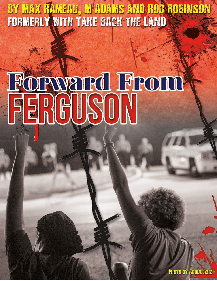BY MAX RAMEAU, M'ADAMS AND ROB ROBINSON<br>FORMERLY WITH TAKE BACK THE LAND

# **FORWARD FROID**

**PHOTO BY ABDUL AZIZ**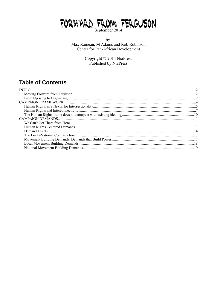## FORWARD FROM FERGUSON

by Max Rameau, M Adams and Rob Robinson Center for Pan-African Development

Copyright © 2014 NiaPress<br>Published by NiaPress

### **Table of Contents**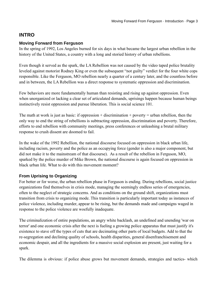#### <span id="page-2-0"></span>**INTRO**

#### <span id="page-2-1"></span>**Moving Forward from Ferguson**

In the spring of 1992, Los Angeles burned for six days in what became the largest urban rebellion in the history of the United States, a country with a long and storied history of urban rebellions.

Even though it served as the spark, the LA Rebellion was not caused by the video taped police brutality leveled against motorist Rodney King or even the subsequent "not guilty" verdict for the four white cops responsible. Like the Ferguson, MO rebellion nearly a quarter of a century later, and the countless before and in between, the LA Rebellion was a direct response to systematic oppression and discrimination.

Few behaviors are more fundamentally human than resisting and rising up against oppression. Even when unorganized or lacking a clear set of articulated demands, uprisings happen because human beings instinctively resist oppression and pursue liberation. This is social science 101.

The math at work is just as basic: if oppression  $+$  discrimination  $+$  poverty  $=$  urban rebellion, then the only way to end the string of rebellions is subtracting oppression, discrimination and poverty. Therefore, efforts to end rebellion with community meetings, press conferences or unleashing a brutal military response to crush dissent are doomed to fail.

In the wake of the 1992 Rebellion, the national discourse focused on oppression in black urban life, including racism, poverty and the police as an occupying force (gender is also a major component, but did not make it to the mainstream of that discourse). As a result of the rebellion in Ferguson, MO, sparked by the police murder of Mike Brown, the national discourse is again focused on oppression in black urban life. What to do with this movement moment?

#### <span id="page-2-2"></span>**From Uprising to Organizing**

For better or for worse, the urban rebellion phase in Ferguson is ending. During rebellions, social justice organizations find themselves in crisis mode, managing the seemingly endless series of emergencies, often to the neglect of strategic concerns. And as conditions on the ground shift, organizations must transition from crisis to organizing mode. This transition is particularly important today as instances of police violence, including murder, appear to be rising, but the demands made and campaigns waged in response to the police violence are woefully inadequate.

The criminalization of entire populations, an angry white backlash, an undefined and unending 'war on terror' and one economic crisis after the next is fueling a growing police apparatus that must justify it's existence to stave off the types of cuts that are decimating other parts of local budgets. Add to that the re-segregation and declining quality of schools, health disparities, general disenfranchisement and economic despair, and all the ingredients for a massive social explosion are present, just waiting for a spark.

The dilemma is obvious: if police abuse grows but movement demands, strategies and tactics- which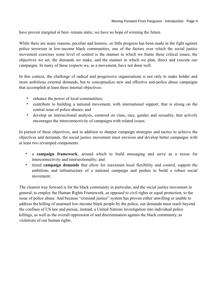have proven marginal at best- remain static, we have no hope of winning the future.

While there are many reasons, peculiar and historic, so little progress has been made in the fight against police terrorism in low-income black communities, one of the factors over which the social justice movement exercises some level of control is the manner in which we frame these critical issues, the objectives we set, the demands we make, and the manner in which we plan, direct and execute our campaigns. In many of these respects we, as a movement, have not done well.

In this context, the challenge of radical and progressive organizations is not only to make bolder and more ambitious external demands, but to conceptualize new and effective anti-police abuse campaigns that accomplish at least three internal objectives:

- enhance the power of local communities;
- contribute to building a national movement, with international support, that is strong on the central issue of police abuses; and
- develop an intersectional analysis, centered on class, race, gender and sexuality, that actively encourages the interconnectivity of campaigns with related issues.

In pursuit of these objectives, and in addition to sharper campaign strategies and tactics to achieve the objectives and demands, the social justice movement must envision and develop better campaigns with at least two revamped components:

- a **campaign framework**, around which to build messaging and serve as a nexus for interconnectivity and intersectionality; and
- tiered **campaign demands** that allow for maximum local flexibility and control, support the ambitions and infrastructure of a national campaign and pushes to build a robust social movement;

The clearest way forward is for the black community in particular, and the social justice movement in general, to employ the Human Rights Framework, as opposed to civil rights or equal protection, to the issue of police abuse. And because "criminal justice" system has proven either unwilling or unable to address the killing of unarmed low-income black people by the police, our demands must reach beyond the confines of US law and pursue, instead, a United Nations investigation into individual police killings, as well as the overall oppression of and discrimination against the black community, as violations of our human rights.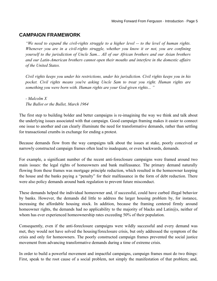#### <span id="page-4-0"></span>**CAMPAIGN FRAMEWORK**

*"We need to expand the civil-rights struggle to a higher level -- to the level of human rights. Whenever you are in a civil-rights struggle, whether you know it or not, you are confining yourself to the jurisdiction of Uncle Sam... All of our African brothers and our Asian brothers and our Latin-American brothers cannot open their mouths and interfere in the domestic affairs of the United States.* 

*Civil rights keeps you under his restrictions, under his jurisdiction. Civil rights keeps you in his pocket. Civil rights means you're asking Uncle Sam to treat you right. Human rights are something you were born with. Human rights are your God-given rights... "*

*- Malcolm X The Ballot or the Bullet, March 1964*

The first step to building bolder and better campaigns is re-imagining the way we think and talk about the underlying issues associated with that campaign. Good campaign framing makes it easier to connect one issue to another and can clearly illuminate the need for transformative demands, rather than settling for transactional crumbs in exchange for ending a protest.

Because demands flow from the way campaigns talk about the issues at stake, poorly conceived or narrowly constructed campaign frames often lead to inadequate, or even backwards, demands.

For example, a significant number of the recent anti-foreclosure campaigns were framed around two main issues: the legal rights of homeowners and bank malfeasance. The primary demand naturally flowing from these frames was mortgage principle reduction, which resulted in the homeowner keeping the house and the banks paying a "penalty" for their malfeasance in the form of debt reduction. There were also policy demands around bank regulation to prevent future misconduct.

These demands helped the individual homeowner and, if successful, could have curbed illegal behavior by banks. However, the demands did little to address the larger housing problem by, for instance, increasing the affordable housing stock. In addition, because the framing centered firmly around homeowner rights, the demands had no applicability to the majority of blacks and Latin $\hat{\omega}$ s, neither of whom has ever experienced homeownership rates exceeding 50% of their population.

Consequently, even if the anti-foreclosure campaigns were wildly successful and every demand was met, they would not have solved the housing/foreclosure crisis, but only addressed the symptom of the crisis and only for homeowners. The poorly constructed campaign frames prevented the social justice movement from advancing transformative demands during a time of extreme crisis.

In order to build a powerful movement and impactful campaigns, campaign frames must do two things: First, speak to the root cause of a social problem, not simply the manifestation of that problem; and,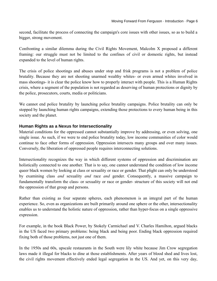second, facilitate the process of connecting the campaign's core issues with other issues, so as to build a bigger, strong movement.

Confronting a similar dilemma during the Civil Rights Movement, Malcolm X proposed a different framing: our struggle must not be limited to the confines of civil or domestic rights, but instead expanded to the level of human rights.

The crisis of police shootings and abuses under stop and frisk programs is not a problem of police brutality. Because they are not shooting unarmed wealthy whites- or even armed whites involved in mass shootings- it is clear the police know how to properly interact with people. This is a Human Rights crisis, where a segment of the population is not regarded as deserving of human protections or dignity by the police, prosecutors, courts, media or politicians.

We cannot end police brutality by launching police brutality campaigns. Police brutality can only be stopped by launching human rights campaigns, extending those protections to every human being in this society and the planet.

#### <span id="page-5-0"></span>**Human Rights as a Nexus for Intersectionality**

Material conditions for the oppressed cannot substantially improve by addressing, or even solving, one single issue. As such, if we were to end police brutality today, low income communities of color would continue to face other forms of oppression. Oppression intersects many groups and over many issues. Conversely, the liberation of oppressed people requires interconnecting solutions.

Intersectionality recognizes the way in which different systems of oppression and discrimination are holistically connected to one another. That is to say, one cannot understand the condition of low income queer black women by looking at class or sexuality or race or gender. That plight can only be understood by examining class *and* sexuality *and* race *and* gender. Consequently, a massive campaign to fundamentally transform the class- or sexuality or race or gender- structure of this society will not end the oppression of that group and persons.

Rather than existing as four separate spheres, each phenomenon is an integral part of the human experience. So, even as organizations are built primarily around one sphere or the other, intersectionality enables us to understand the holistic nature of oppression, rather than hyper-focus on a single oppressive expression.

For example, in the book Black Power, by Stokely Carmichael and V. Charles Hamilton, argued blacks in the US faced two primary problems: being black and being poor. Ending black oppression required fixing both of those problems, not just one of them.

In the 1950s and 60s, upscale restaurants in the South were lily white because Jim Crow segregation laws made it illegal for blacks to dine at those establishments. After years of blood shed and lives lost, the civil rights movement effectively ended legal segregation in the US. And yet, on this very day,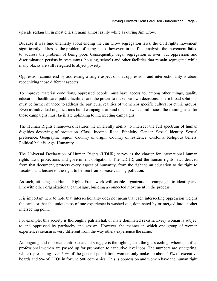upscale restaurant in most cities remain almost as lily white as during Jim Crow.

Because it was fundamentally about ending the Jim Crow segregation laws, the civil rights movement significantly addressed the problem of being black, however, in the final analysis, the movement failed to address the problem of being poor. Consequently, legal segregation is over, but oppression and discrimination persists in restaurants, housing, schools and other facilities that remain segregated while many blacks are still relegated to abject poverty.

Oppression cannot end by addressing a single aspect of that oppression, and intersectionality is about recognizing those different aspects.

To improve material conditions, oppressed people must have access to, among other things, quality education, health care, public facilities and the power to make our own decisions. These broad solutions must be further nuanced to address the particular realities of women or specific cultural or ethnic groups. Even as individual organizations build campaigns around one or two central issues, the framing used for those campaigns must facilitate uplinking to intersecting campaigns.

The Human Rights Framework features the inherently ability to intersect the full spectrum of human dignities deserving of protection. Class. Income. Race. Ethnicity. Gender. Sexual identity. Sexual preference. Geographic region. Country of origin. Country of residence. Customs. Religious beliefs. Political beliefs. Age. Humanity.

The Universal Declaration of Human Rights (UDHR) serves as the charter for international human rights laws, protections and government obligations. The UDHR, and the human rights laws derived from that document, protects every aspect of humanity, from the right to an education to the right to vacation and leisure to the right to be free from disease causing pollution.

As such, utilizing the Human Rights Framework will enable organizational campaigns to identify and link with other organizational campaigns, building a connected movement in the process.

It is important here to note that intersectionality does not mean that each intersecting oppression weighs the same or that the uniqueness of one experience is washed out, dominated by or merged into another intersecting point.

For example, this society is thoroughly patriarchal, or male dominated sexism. Every woman is subject to and oppressed by patriarchy and sexism. However, the manner in which one group of women experiences sexism is very different from the way others experience the same.

An ongoing and important anti-patriarchal struggle is the fight against the glass ceiling, where qualified professional women are passed up for promotion to executive level jobs. The numbers are staggering: while representing over 50% of the general population, women only make up about 15% of executive boards and 5% of CEOs in fortune 500 companies. This is oppression and women have the human right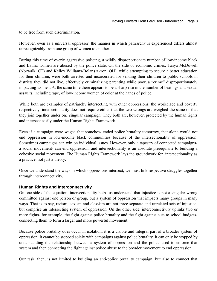to be free from such discrimination.

However, even as a universal oppressor, the manner in which patriarchy is experienced differs almost unrecognizably from one group of women to another.

During this time of overly aggressive policing, a wildly disproportionate number of low-income black and Latina women are abused by the police state. On the side of economic crimes, Tanya McDowell (Norwalk, CT) and Kelley Williams-Bolar (Akron, OH), while attempting to secure a better education for their children, were both arrested and incarcerated for sending their children to public schools in districts they did not live, effectively criminalizing parenting while poor, a "crime" disproportionately impacting women. At the same time there appears to be a sharp rise in the number of beatings and sexual assaults, including rape, of low-income women of color at the hands of police.

While both are examples of patriarchy intersecting with other oppressions, the workplace and poverty respectively, intersectionality does not require either that the two wrongs are weighed the same or that they join together under one singular campaign. They both are, however, protected by the human rights and intersect easily under the Human Rights Framework.

Even if a campaign were waged that somehow ended police brutality tomorrow, that alone would not end oppression in low-income black communities because of the intersectionality of oppression. Sometimes campaigns can win on individual issues. However, only a tapestry of connected campaignsa social movement- can end oppression, and intersectionality is an absolute prerequisite to building a cohesive social movement. The Human Rights Framework lays the groundwork for intersectionality as a practice, not just a theory.

Once we understand the ways in which oppressions intersect, we must link respective struggles together through interconnectivity.

#### <span id="page-7-0"></span>**Human Rights and Interconnectivity**

On one side of the equation, intersectionality helps us understand that injustice is not a singular wrong committed against one person or group, but a system of oppression that impacts many groups in many ways. That is to say, racism, sexism and classism are not three separate and unrelated sets of injustice, but comprise an intersecting system of oppression. On the other side, interconnectivity uplinks two or more fights- for example, the fight against police brutality and the fight against cuts to school budgetsconnecting them to form a larger and more powerful movement.

Because police brutality does occur in isolation, it is a visible and integral part of a broader system of oppression, it cannot be stopped solely with campaigns against police brutality. It can only be stopped by understanding the relationship between a system of oppression and the police used to enforce that system and then connecting the fight against police abuse to the broader movement to end oppression.

Our task, then, is not limited to building an anti-police brutality campaign, but also to connect that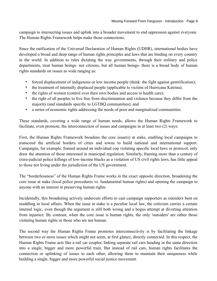campaign to intersecting issues and uplink into a broader movement to end oppression against everyone. The Human Rights Framework helps make those connections.

Since the ratification of the Universal Declaration of Human Rights (UDHR), international bodies have developed a broad and deep range of human rights principles and laws that are binding on every country in the world. In addition to rules dictating the way governments, through their military and police departments, treat human beings- not citizens, but all human beings- there is a broad body of human rights standards on issues as wide ranging as:

- forced displacement of indigenous or low income people (think: the fight against gentrification);
- the treatment of internally displaced people (applicable to victims of Hurricane Katrina);
- the rights of women (control over their own bodies and access to health care);
- the right of all peoples to live free from discrimination and violence because they differ from the majority (and standards specific to LGTBQ communities); and
- a series of economic rights addressing the needs of poor and marginalized communities.

These standards, covering a wide range of human needs, allows the Human Rights Framework to facilitate, even promote, the interconnection of issues and campaigns in at least two (2) ways:

First, the Human Rights Framework broadens the core issue(s) at stake, enabling local campaigns to transcend the artificial borders of cities and towns to build national and international support. Campaigns, for example, framed around an individual cop violating specific local laws or protocol, only draw the attention of those interested in municipal regulation. Similarly, framing more than a century of extra-judicial police killings of low-income blacks as a violation of US civil rights laws, has little appeal to those not living under the jurisdiction of the US government.

The "borderlessness" of the Human Rights Frame works in the exact opposite direction, broadening the core issue at stake (local police procedures vs. fundamental human rights) and opening the campaign to anyone with an interest in preserving human rights.

Incidentally, this broadening actively undercuts efforts to cast campaign supporters as outsiders bent on meddling in local affairs. When the issue at stake is a peculiar local law, the criticism carries a certain internal logic, even though the argument is still both wrong and a bogus attempt at diverting attention from injustice. By contrast, when the core issue is human rights, the only 'outsiders' are either those violating human rights or those who are not human.

The second way the Human Rights Frame promotes interconnectivity is by facilitating the linkage between two or more issues which might not seem, at first glance, directly connected. In this respect, the Human Rights Frame acts like a rail car coupler, linking separate rail cars heading in the same direction into a single, bigger and more powerful train. But instead of rail cars, human rights facilitates the connection or uplinking of issues to each other, allowing them to maintain their uniqueness while building a single, bigger and more powerful social justice movement.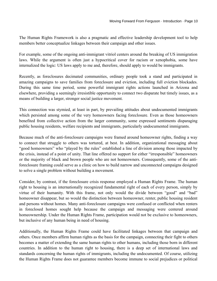The Human Rights Framework is also a pragmatic and effective leadership development tool to help members better conceptualize linkages between their campaign and other issues.

For example, some of the ongoing anti-immigrant vitriol centers around the breaking of US immigration laws. While the argument is often just a hypocritical cover for racism or xenophobia, some have internalized the logic: US laws apply to me and, therefore, should apply to would be immigrants.

Recently, as foreclosures decimated communities, ordinary people took a stand and participated in amazing campaigns to save families from foreclosure and eviction, including full eviction blockades. During this same time period, some powerful immigrant rights actions launched in Arizona and elsewhere, providing a seemingly irresistible opportunity to connect two disparate but timely issues, as a means of building a larger, stronger social justice movement.

This connection was stymied, at least in part, by prevailing attitudes about undocumented immigrants which persisted among some of the very homeowners facing foreclosure. Even as those homeowners benefited from collective action from the larger community, some expressed sentiments disparaging public housing residents, welfare recipients and immigrants, particularly undocumented immigrants.

Because much of the anti-foreclosure campaigns were framed around homeowner rights, finding a way to connect that struggle to others was tortured, at best. In addition, organizational messaging about "good homeowners" who "played by the rules" established a line of division among those impacted by the crisis, instead of a point of unity. That line offered no support for either "irresponsible" homeowners or the majority of black and brown people who are not homeowners. Consequently, some of the antiforeclosure framing could serve as a clinic on how to build narrow and unconnected campaigns designed to solve a single problem without building a movement.

Consider, by contrast, if the foreclosure crisis response employed a Human Rights Frame. The human right to housing is an internationally recognized fundamental right of each of every person, simply by virtue of their humanity. With this frame, not only would the divide between "good" and "bad" homeowner disappear, but so would the distinction between homeowner, renter, public housing resident and persons without homes. Many anti-foreclosure campaigns were confused or conflicted when renters in foreclosed homes sought help because the campaign and messaging were centered around homeownership. Under the Human Rights Frame, participation would not be exclusive to homeowners, but inclusive of any human being in need of housing.

Additionally, the Human Rights Frame could have facilitated linkages between that campaign and others. Once members affirm human rights as the basis for the campaign, connecting their fight to others becomes a matter of extending the same human rights to other humans, including those born in different countries. In addition to the human right to housing, there is a deep set of international laws and standards concerning the human rights of immigrants, including the undocumented. Of course, utilizing the Human Rights Frame does not guarantee members become immune to social prejudices or political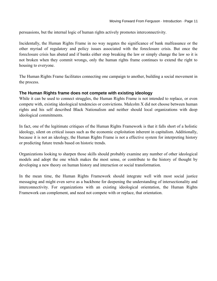persuasions, but the internal logic of human rights actively promotes interconnectivity.

Incidentally, the Human Rights Frame in no way negates the significance of bank malfeasance or the other myriad of regulatory and policy issues associated with the foreclosure crisis. But once the foreclosure crisis has abated and if banks either stop breaking the law or simply change the law so it is not broken when they commit wrongs, only the human rights frame continues to extend the right to housing to everyone.

The Human Rights Frame facilitates connecting one campaign to another, building a social movement in the process.

#### <span id="page-10-0"></span>**The Human Rights frame does not compete with existing ideology**

While it can be used to connect struggles, the Human Rights Frame is not intended to replace, or even compete with, existing ideological tendencies or convictions. Malcolm X did not choose between human rights and his self described Black Nationalism and neither should local organizations with deep ideological commitments.

In fact, one of the legitimate critiques of the Human Rights Framework is that it falls short of a holistic ideology, silent on critical issues such as the economic exploitation inherent in capitalism. Additionally, because it is not an ideology, the Human Rights Frame is not a effective system for interpreting history or predicting future trends based on historic trends.

Organizations looking to sharpen those skills should probably examine any number of other ideological models and adopt the one which makes the most sense, or contribute to the history of thought by developing a new theory on human history and interaction or social transformation.

In the mean time, the Human Rights Framework should integrate well with most social justice messaging and might even serve as a backbone for deepening the understanding of intersectionality and interconnectivity. For organizations with an existing ideological orientation, the Human Rights Framework can complement, and need not compete with or replace, that orientation.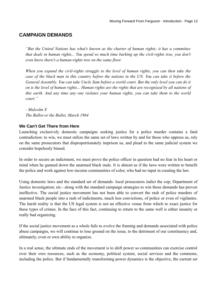#### <span id="page-11-0"></span>**CAMPAIGN DEMANDS**

*"But the United Nations has what's known as the charter of human rights; it has a committee that deals in human rights... You spend so much time barking up the civil-rights tree, you don't even know there's a human-rights tree on the same floor.*

*When you expand the civil-rights struggle to the level of human rights, you can then take the case of the black man in this country before the nations in the UN. You can take it before the General Assembly. You can take Uncle Sam before a world court. But the only level you can do it on is the level of human rights... Human rights are the rights that are recognized by all nations of this earth. And any time any one violates your human rights, you can take them to the world court."*

*- Malcolm X The Ballot or the Bullet, March 1964*

#### <span id="page-11-1"></span>**We Can't Get There from Here**

Launching exclusively domestic campaigns seeking justice for a police murder contains a fatal contradiction: to win, we must utilize the same set of laws written by and for those who oppress us, rely on the same prosecutors that disproportionately imprison us, and plead to the same judicial system we consider hopelessly biased.

In order to secure an indictment, we must prove the police officer in question had no fear in his heart or mind when he gunned down the unarmed black male. It is almost as if the laws were written to benefit the police and work against low-income communities of color, who had no input in creating the law.

Using domestic laws and the standard set of demands- local prosecutors indict the cop; Department of Justice investigation; etc.- along with the standard campaign strategies to win those demands has proven ineffective. The social justice movement has not been able to convert the rash of police murders of unarmed black people into a rash of indictments, much less convictions, of police or even of vigilantes. The harsh reality is that the US legal system is not an effective venue from which to exact justice for these types of crimes. In the face of this fact, continuing to return to the same well is either insanity or really bad organizing.

If the social justice movement as a whole fails to evolve the framing and demands associated with police abuse campaigns, we will continue to lose ground on the issue, to the detriment of our constituency and, ultimately, even or own ability to organize.

In a real sense, the ultimate ends of the movement is to shift power so communities can exercise control over their own resources, such as the economy, political system, social services and the commons, including the police. But if fundamentally transforming power dynamics is the objective, the current set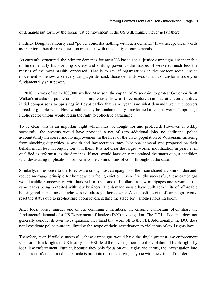of demands put forth by the social justice movement in the US will, frankly, never get us there.

Fredrick Douglas famously said "power concedes nothing without a demand." If we accept these words as an axiom, then the next question must deal with the quality of our demands.

As currently structured, the primary demands for most US based social justice campaigns are incapable of fundamentally transforming society and shifting power to the masses of workers, much less the masses of the most harshly oppressed. That is to say, if organizations in the broader social justice movement somehow won every campaign demand, those demands would fail to transform society or fundamentally shift power.

In 2010, crowds of up to 100,000 swelled Madison, the capital of Wisconsin, to protest Governor Scott Walker's attacks on public unions. This impressive show of force captured national attention and drew initial comparisons to uprisings in Egypt earlier that same year. And what demands were the powers forced to grapple with? How would society be fundamentally transformed after this worker's uprising? Public sector unions would retain the right to collective bargaining.

To be clear, this is an important right which must be fought for and protected. However, if wildly successful, the protests would have provided a net of zero additional jobs, no additional police accountability measures and no improvement in the lives of the black population of Wisconsin, suffering from shocking disparities in wealth and incarceration rates. Not one demand was proposed on their behalf, much less in conjunction with them. It is not clear the largest worker mobilization in years even qualified as reformist, as the demands, if met, would have only maintained the status quo, a condition with devastating implications for low-income communities of color throughout the state.

Similarly, in response to the foreclosure crisis, most campaigns on the issue shared a common demand: reduce mortgage principle for homeowners facing eviction. Even if wildly successful, these campaigns would saddle homeowners with hundreds of thousands of dollars in new mortgages and rewarded the same banks being protested with new business. The demand would have built zero units of affordable housing and helped no one who was not already a homeowner. A successful series of campaigns would reset the status quo to pre-housing boom levels, setting the stage for... another housing boom.

After local police murder one of our community members, the ensuing campaigns often share the fundamental demand of a US Department of Justice (DOJ) investigation. The DOJ, of course, does not generally conduct its own investigations, they hand that work off to the FBI. Additionally, the DOJ does not investigate police murders, limiting the scope of their investigation to violations of civil rights laws.

Therefore, even if wildly successful, these campaigns would have the single greatest law enforcement violator of black rights in US history- the FBI- lead the investigation into the violation of black rights by local law enforcement. Further, because they only focus on civil rights violations, the investigation into the murder of an unarmed black male is prohibited from charging anyone with the crime of murder.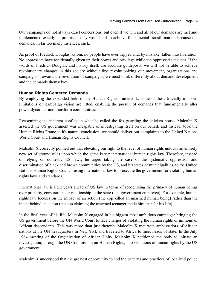Our campaigns do not always exact concessions, but even if we win and all of our demands are met and implemented exactly as promised, they would fail to achieve fundamental transformation because the demands, in far too many instances, suck.

As proof of Fredrick Douglas' axiom, no people have ever tripped and, by mistake, fallen into liberation. No oppressors have accidentally given up their power and privilege while the oppressed sat silent. If the words of Fredrick Douglas, and history itself, are accurate guideposts, we will not be able to achieve revolutionary changes in this society without first revolutionizing our movement, organizations and campaigns. Towards the revolution of campaigns, we must think differently about demand development and the demands themselves.

#### <span id="page-13-0"></span>**Human Rights Centered Demands**

By employing the expanded field of the Human Rights framework, some of the artificially imposed limitations on campaign vision are lifted, enabling the pursuit of demands that fundamentally alter power dynamics and transform communities.

Recognizing the inherent conflict in what he called the fox guarding the chicken house, Malcolm X asserted the US government was incapable of investigating itself on our behalf, and instead, took the Human Rights Frame to it's natural conclusion: we should deliver our complaints to the United Nations World Court and Human Rights Council.

Malcolm X correctly pointed out that elevating our fight to the level of human rights unlocks an entirely new set of ground rules upon which the game is set: international human rights law. Therefore, instead of relying on domestic US laws, he urged taking the case of the systematic oppression and discrimination of black and brown communities by the US, and it's states or municipalities, to the United Nations Human Rights Council using international law to prosecute the government for violating human rights laws and standards.

International law is light years ahead of US law in terms of recognizing the primacy of human beings over property, corporations or relationship to the state (i.e., government employee). For example, human rights law focuses on the impact of an action (the cop killed an unarmed human being) rather than the intent behind an action (the cop claiming the unarmed teenager made him fear for his life).

In the final year of his life, Malcolm X engaged in his biggest most ambitious campaign: bringing the US government before the UN World Court to face charges of violating the human rights of millions of African descendants. This was more than just rhetoric. Malcolm X met with ambassadors of African nations at the UN headquarters in New York and traveled to Africa to meet heads of state. In the July 1964 meeting of the Organization of African Unity, Malcolm X petitioned the body to initiate an investigation, through the UN Commission on Human Rights, into violations of human rights by the US government.

Malcolm X understood that the greatest opportunity to end the patterns and practices of localized police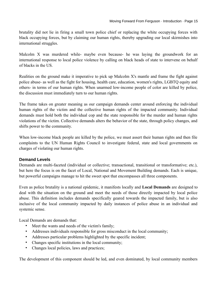brutality did not lie in firing a small town police chief or replacing the white occupying forces with black occupying forces, but by claiming our human rights, thereby upgrading our local skirmishes into international struggles.

Malcolm X was murdered while- maybe even because- he was laying the groundwork for an international response to local police violence by calling on black heads of state to intervene on behalf of blacks in the US.

Realities on the ground make it imperative to pick up Malcolm X's mantle and frame the fight against police abuse- as well as the fight for housing, health care, education, women's rights, LGBTQ equity and others- in terms of our human rights. When unarmed low-income people of color are killed by police, the discussion must immediately turn to our human rights.

The frame takes on greater meaning as our campaign demands center around enforcing the individual human rights of the victim and the collective human rights of the impacted community. Individual demands must hold both the individual cop and the state responsible for the murder and human rights violations of the victim. Collective demands alters the behavior of the state, through policy changes, and shifts power to the community.

When low-income black people are killed by the police, we must assert their human rights and then file complaints to the UN Human Rights Council to investigate federal, state and local governments on charges of violating our human rights.

#### <span id="page-14-0"></span>**Demand Levels**

Demands are multi-faceted (individual or collective; transactional, transitional or transformative; etc.), but here the focus is on the facet of Local, National and Movement Building demands. Each is unique, but powerful campaigns manage to hit the sweet spot that encompasses all three components.

Even as police brutality is a national epidemic, it manifests locally and **Local Demands** are designed to deal with the situation on the ground and meet the needs of those directly impacted by local police abuse. This definition includes demands specifically geared towards the impacted family, but is also inclusive of the local community impacted by daily instances of police abuse in an individual and systemic sense.

Local Demands are demands that:

- Meet the wants and needs of the victim's family;
- Addresses individuals responsible for gross misconduct in the local community;
- Addresses particular problems highlighted by the specific incident;
- Changes specific institutions in the local community;
- Changes local policies, laws and practices;

The development of this component should be led, and even dominated, by local community members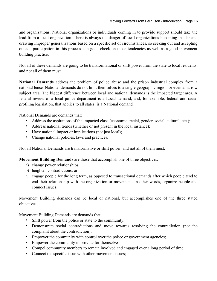and organizations. National organizations or individuals coming in to provide support should take the lead from a local organization. There is always the danger of local organizations becoming insular and drawing improper generalizations based on a specific set of circumstances, so seeking out and accepting outside participation in this process is a good check on those tendencies as well as a good movement building practice.

Not all of these demands are going to be transformational or shift power from the state to local residents, and not all of them must.

**National Demands** address the problem of police abuse and the prison industrial complex from a national lense. National demands do not limit themselves to a single geographic region or even a narrow subject area. The biggest difference between local and national demands is the impacted target area. A federal review of a local police department is a Local demand, and, for example, federal anti-racial profiling legislation, that applies to all states, is a National demand.

National Demands are demands that:

- Address the aspirations of the impacted class (economic, racial, gender, social, cultural, etc.);
- Address national trends (whether or not present in the local instance);
- Have national impact or implications (not just local);
- Change national policies, laws and practices;

Not all National Demands are transformative or shift power, and not all of them must.

**Movement Building Demands** are those that accomplish one of three objectives:

- a) change power relationships;
- b) heighten contradictions; or
- c) engage people for the long term, as opposed to transactional demands after which people tend to end their relationship with the organization or movement. In other words, organize people and connect issues.

Movement Building demands can be local or national, but accomplishes one of the three stated objectives.

Movement Building Demands are demands that:

- Shift power from the police or state to the community;
- Demonstrate social contradictions and move towards resolving the contradiction (not the complaint about the contradiction);
- Empower the community with control over the police or government agencies;
- Empower the community to provide for themselves;
- Compel community members to remain involved and engaged over a long period of time;
- Connect the specific issue with other movement issues;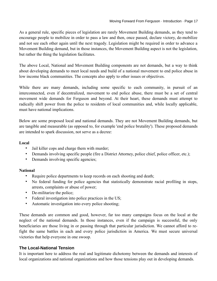As a general rule, specific pieces of legislation are rarely Movement Building demands, as they tend to encourage people to mobilize in order to pass a law and then, once passed, declare victory, de-mobilize and not see each other again until the next tragedy. Legislation might be required in order to advance a Movement Building demand, but in those instances, the Movement Building aspect is not the legislation, but rather the thing the legislation facilitates.

The above Local, National and Movement Building components are not demands, but a way to think about developing demands to meet local needs and build of a national movement to end police abuse in low income black communities. The concepts also apply to other issues or objectives.

While there are many demands, including some specific to each community, in pursuit of an interconnected, even if decentralized, movement to end police abuse, there must be a set of central movement wide demands for Ferguson and beyond. At their heart, these demands must attempt to radically shift power from the police to residents of local communities and, while locally applicable, must have national implications.

Below are some proposed local and national demands. They are not Movement Building demands, but are tangible and measurable (as opposed to, for example 'end police brutality'). These proposed demands are intended to spark discussion, not serve as a decree:

#### **Local**

- Jail killer cops and charge them with murder;
- Demands involving specific people (fire a District Attorney, police chief, police officer, etc.);
- Demands involving specific agencies;

#### **National**

- Require police departments to keep records on each shooting and death;
- No federal funding for police agencies that statistically demonstrate racial profiling in stops, arrests, complaints or abuse of power;
- De-militarize the police;
- Federal investigation into police practices in the US;
- Automatic investigation into every police shooting;

These demands are common and good, however, far too many campaigns focus on the local at the neglect of the national demands. In those instances, even if the campaign is successful, the only beneficiaries are those living in or passing through that particular jurisdiction. We cannot afford to refight the same battles in each and every police jurisdiction in America. We must secure universal victories that help everyone in one swoop.

#### <span id="page-16-0"></span>**The Local-National Tension**

It is important here to address the real and legitimate dichotomy between the demands and interests of local organizations and national organizations and how those tensions play out in developing demands.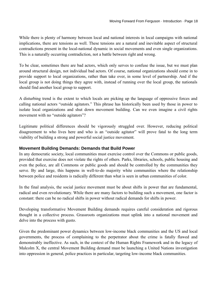While there is plenty of harmony between local and national interests in local campaigns with national implications, there are tensions as well. These tensions are a natural and inevitable aspect of structural contradictions present in the local-national dynamic in social movements and even single organizations. This is a naturally occurring contradiction, not a battle between right and wrong.

To be clear, sometimes there are bad actors, which only serves to confuse the issue, but we must plan around structural design, not individual bad actors. Of course, national organizations should come in to provide support to local organizations, rather than take over, in some level of partnership. And if the local group is not doing things they agree with, instead of running over the local group, the nationals should find another local group to support.

A disturbing trend is the extent to which locals are picking up the language of oppressive forces and calling national actors "outside agitators." This phrase has historically been used by those in power to isolate local organizations and shut down movement building. Can we even imagine a civil rights movement with no "outside agitators"?

Legitimate political differences should be vigorously struggled over. However, reducing political disagreement to who lives here and who is an "outside agitator" will prove fatal to the long term viability of building a strong and powerful social justice movement.

#### <span id="page-17-0"></span>**Movement Building Demands: Demands that Build Power**

In any democratic society, local communities must exercise control over the Commons or public goods, provided that exercise does not violate the rights of others. Parks, libraries, schools, public housing and even the police, are all Commons or public goods and should be controlled by the communities they serve. By and large, this happens in well-to-do majority white communities where the relationship between police and residents is radically different than what is seen in urban communities of color.

In the final analysis, the social justice movement must be about shifts in power that are fundamental, radical and even revolutionary. While there are many factors to building such a movement, one factor is constant: there can be no radical shifts in power without radical demands for shifts in power.

Developing transformative Movement Building demands requires careful consideration and rigorous thought in a collective process. Grassroots organizations must uplink into a national movement and delve into the process with gusto.

Given the predominant power dynamics between low-income black communities and the US and local governments, the process of complaining to the perpetrator about the crime is fatally flawed and demonstrably ineffective. As such, in the context of the Human Rights Framework and in the legacy of Malcolm X, the central Movement Building demand must be launching a United Nations investigation into oppression in general, police practices in particular, targeting low-income black communities.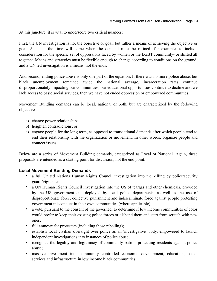At this juncture, it is vital to underscore two critical nuances:

First, the UN investigation is not the objective or goal, but rather a means of achieving the objective or goal. As such, the time will come when the demand must be refined- for example, to include consideration for the specific set of oppressions faced by women or the LGBT community- or shifted all together. Means and strategies must be flexible enough to change according to conditions on the ground, and a UN led investigation is a means, not the ends.

And second, ending police abuse is only one part of the equation. If there was no more police abuse, but black unemployment remained twice the national average, incarceration rates continue disproportionately impacting our communities, our educational opportunities continue to decline and we lack access to basic social services, then we have not ended oppression or empowered communities.

Movement Building demands can be local, national or both, but are characterized by the following objectives:

- a) change power relationships;
- b) heighten contradictions; or
- c) engage people for the long term, as opposed to transactional demands after which people tend to end their relationship with the organization or movement. In other words, organize people and connect issues.

Below are a series of Movement Building demands, categorized as Local or National. Again, these proposals are intended as a starting point for discussion, not the end point:

#### <span id="page-18-0"></span>**Local Movement Building Demands**

- a full United Nations Human Rights Council investigation into the killing by police/security guard/vigilante;
- a UN Human Rights Council investigation into the US of teargas and other chemicals, provided by the US government and deployed by local police departments, as well as the use of disproportionate force, collective punishment and indiscriminate force against people protesting government misconduct in their own communities (where applicable);
- a vote, pursuant to the consent of the governed, to determine if low income communities of color would prefer to keep their existing police forces or disband them and start from scratch with new ones;
- full amnesty for protesters (including those rebelling);
- establish local civilian oversight over police as an 'investigative' body, empowered to launch independent investigations into instances of police abuse;
- recognize the legality and legitimacy of community patrols protecting residents against police abuse;
- massive investment into community controlled economic development, education, social services and infrastructure in low income black communities;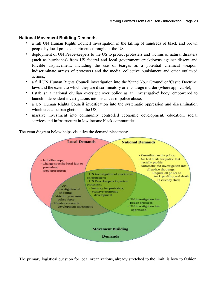#### <span id="page-19-0"></span>**National Movement Building Demands**

- a full UN Human Rights Council investigation in the killing of hundreds of black and brown people by local police departments throughout the US;
- deployment of UN Peace-keepers to the US to protect protesters and victims of natural disasters (such as hurricanes) from US federal and local government crackdowns against dissent and forcible displacement, including the use of teargas as a potential chemical weapon, indiscriminate arrests of protesters and the media, collective punishment and other outlawed actions;
- a full UN Human Rights Council investigation into the 'Stand Your Ground' or 'Castle Doctrine' laws and the extent to which they are discriminatory or encourage murder (where applicable);
- Establish a national civilian oversight over police as an 'investigative' body, empowered to launch independent investigations into instances of police abuse;
- a UN Human Rights Council investigation into the systematic oppression and discrimination which creates urban ghettos in the US;
- massive investment into community controlled economic development, education, social services and infrastructure in low income black communities;

The venn diagram below helps visualize the demand placement:



The primary logistical question for local organizations, already stretched to the limit, is how to fashion,